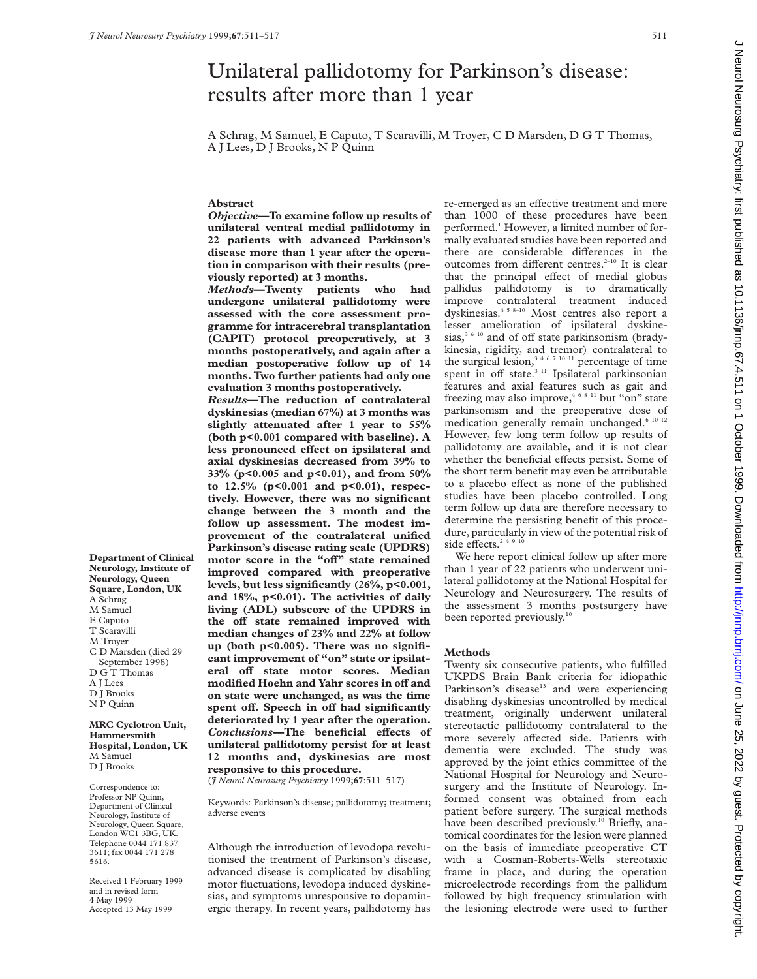# Unilateral pallidotomy for Parkinson's disease: results after more than 1 year A Schrag, M Samuel, E Caputo, T Scaravilli, M Troyer, C D Marsden, D G T Thomas, A J Lees, D J Brooks, N P Quinn **Abstract** *Objective***—To examine follow up results of unilateral ventral medial pallidotomy in 22 patients with advanced Parkinson's disease more than 1 year after the operation in comparison with their results (previously reported) at 3 months.** *Methods***—Twenty patients who had undergone unilateral pallidotomy were assessed with the core assessment programme for intracerebral transplantation (CAPIT) protocol preoperatively, at 3 months postoperatively, and again after a median postoperative follow up of 14 months. Two further patients had only one evaluation 3 months postoperatively.** *Results***—The reduction of contralateral dyskinesias (median 67%) at 3 months was slightly attenuated after 1 year to 55% (both p<0.001 compared with baseline). A** less pronounced effect on ipsilateral and

**axial dyskinesias decreased from 39% to 33% (p<0.005 and p<0.01), and from 50% to 12.5% (p<0.001 and p<0.01), respectively. However, there was no significant change between the 3 month and the follow up assessment. The modest improvement of the contralateral unified Parkinson's disease rating scale (UPDRS)** motor score in the "off" state remained **improved compared with preoperative levels, but less significantly (26%, p<0.001, and 18%, p<0.01). The activities of daily living (ADL) subscore of the UPDRS in the oV state remained improved with median changes of 23% and 22% at follow up (both p<0.005). There was no significant improvement of "on" state or ipsilat**eral off state motor scores. Median **modified Hoehn and Yahr scores in oV and on state were unchanged, as was the time spent oV. Speech in oV had significantly deteriorated by 1 year after the operation.**  $Conclusions$ —The beneficial effects of **unilateral pallidotomy persist for at least 12 months and, dyskinesias are most responsive to this procedure.**

(*J Neurol Neurosurg Psychiatry* 1999;**67**:511–517)

Keywords: Parkinson's disease; pallidotomy; treatment; adverse events

Although the introduction of levodopa revolutionised the treatment of Parkinson's disease, advanced disease is complicated by disabling motor fluctuations, levodopa induced dyskinesias, and symptoms unresponsive to dopaminergic therapy. In recent years, pallidotomy has

re-emerged as an effective treatment and more than 1000 of these procedures have been performed.<sup>1</sup> However, a limited number of formally evaluated studies have been reported and there are considerable differences in the outcomes from different centres. $2-10$  It is clear that the principal effect of medial globus pallidus pallidotomy is to dramatically improve contralateral treatment induced dyskinesias.4 5 8–10 Most centres also report a lesser amelioration of ipsilateral dyskinesias,<sup>3 6 10</sup> and of off state parkinsonism (bradykinesia, rigidity, and tremor) contralateral to the surgical lesion,<sup>3467 10 11</sup> percentage of time spent in off state. $311$  Ipsilateral parkinsonian features and axial features such as gait and freezing may also improve,<sup>46811</sup> but "on" state parkinsonism and the preoperative dose of medication generally remain unchanged.<sup>6 10 12</sup> However, few long term follow up results of pallidotomy are available, and it is not clear whether the beneficial effects persist. Some of the short term benefit may even be attributable to a placebo effect as none of the published studies have been placebo controlled. Long term follow up data are therefore necessary to determine the persisting benefit of this procedure, particularly in view of the potential risk of side effects.<sup>2491</sup>

We here report clinical follow up after more than 1 year of 22 patients who underwent unilateral pallidotomy at the National Hospital for Neurology and Neurosurgery. The results of the assessment 3 months postsurgery have been reported previously.<sup>10</sup>

#### **Methods**

Twenty six consecutive patients, who fulfilled UKPDS Brain Bank criteria for idiopathic Parkinson's disease<sup>13</sup> and were experiencing disabling dyskinesias uncontrolled by medical treatment, originally underwent unilateral stereotactic pallidotomy contralateral to the more severely affected side. Patients with dementia were excluded. The study was approved by the joint ethics committee of the National Hospital for Neurology and Neurosurgery and the Institute of Neurology. Informed consent was obtained from each patient before surgery. The surgical methods have been described previously.<sup>10</sup> Briefly, anatomical coordinates for the lesion were planned on the basis of immediate preoperative CT with a Cosman-Roberts-Wells stereotaxic frame in place, and during the operation microelectrode recordings from the pallidum followed by high frequency stimulation with the lesioning electrode were used to further

**Department of Clinical Neurology, Institute of Neurology, Queen Square, London, UK** A Schrag M Samuel E Caputo T Scaravilli M Troyer C D Marsden (died 29 September 1998) D G T Thomas A J Lees D J Brooks N P Quinn **MRC Cyclotron Unit,**

**Hammersmith Hospital, London, UK** M Samuel D J Brooks

Correspondence to: Professor NP Quinn, Department of Clinical Neurology, Institute of Neurology, Queen Square, London WC1 3BG, UK. Telephone 0044 171 837 3611; fax 0044 171 278 5616.

Received 1 February 1999 and in revised form 4 May 1999 Accepted 13 May 1999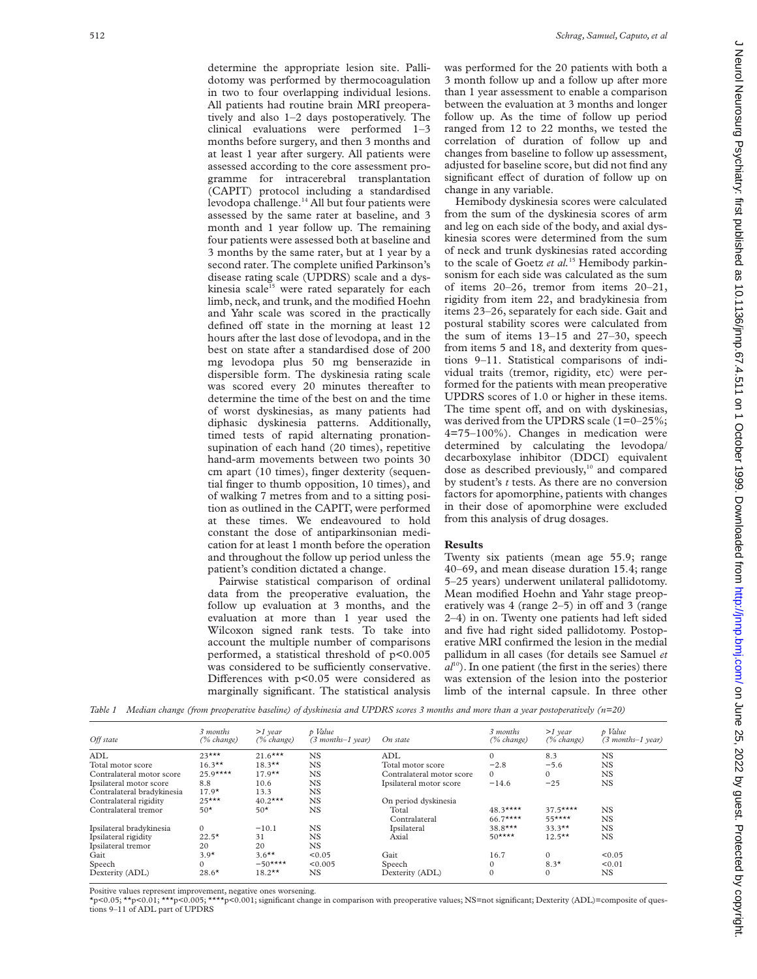determine the appropriate lesion site. Pallidotomy was performed by thermocoagulation in two to four overlapping individual lesions. All patients had routine brain MRI preoperatively and also 1–2 days postoperatively. The clinical evaluations were performed 1–3 months before surgery, and then 3 months and at least 1 year after surgery. All patients were assessed according to the core assessment programme for intracerebral transplantation (CAPIT) protocol including a standardised levodopa challenge.<sup>14</sup> All but four patients were assessed by the same rater at baseline, and 3 month and 1 year follow up. The remaining four patients were assessed both at baseline and 3 months by the same rater, but at 1 year by a second rater. The complete unified Parkinson's disease rating scale (UPDRS) scale and a dyskinesia scale<sup>15</sup> were rated separately for each limb, neck, and trunk, and the modified Hoehn and Yahr scale was scored in the practically defined off state in the morning at least 12 hours after the last dose of levodopa, and in the best on state after a standardised dose of 200 mg levodopa plus 50 mg benserazide in dispersible form. The dyskinesia rating scale was scored every 20 minutes thereafter to determine the time of the best on and the time of worst dyskinesias, as many patients had diphasic dyskinesia patterns. Additionally, timed tests of rapid alternating pronationsupination of each hand (20 times), repetitive hand-arm movements between two points 30 cm apart (10 times), finger dexterity (sequential finger to thumb opposition, 10 times), and of walking 7 metres from and to a sitting position as outlined in the CAPIT, were performed at these times. We endeavoured to hold constant the dose of antiparkinsonian medication for at least 1 month before the operation and throughout the follow up period unless the patient's condition dictated a change.

Pairwise statistical comparison of ordinal data from the preoperative evaluation, the follow up evaluation at 3 months, and the evaluation at more than 1 year used the Wilcoxon signed rank tests. To take into account the multiple number of comparisons performed, a statistical threshold of p<0.005 was considered to be sufficiently conservative. Differences with  $p<0.05$  were considered as marginally significant. The statistical analysis was performed for the 20 patients with both a 3 month follow up and a follow up after more than 1 year assessment to enable a comparison between the evaluation at 3 months and longer follow up. As the time of follow up period ranged from 12 to 22 months, we tested the correlation of duration of follow up and changes from baseline to follow up assessment, adjusted for baseline score, but did not find any significant effect of duration of follow up on change in any variable.

Hemibody dyskinesia scores were calculated from the sum of the dyskinesia scores of arm and leg on each side of the body, and axial dyskinesia scores were determined from the sum of neck and trunk dyskinesias rated according to the scale of Goetz *et al.*<sup>15</sup> Hemibody parkinsonism for each side was calculated as the sum of items 20–26, tremor from items 20–21, rigidity from item 22, and bradykinesia from items 23–26, separately for each side. Gait and postural stability scores were calculated from the sum of items 13–15 and 27–30, speech from items 5 and 18, and dexterity from questions 9–11. Statistical comparisons of individual traits (tremor, rigidity, etc) were performed for the patients with mean preoperative UPDRS scores of 1.0 or higher in these items. The time spent off, and on with dyskinesias, was derived from the UPDRS scale (1=0–25%; 4=75–100%). Changes in medication were determined by calculating the levodopa/ decarboxylase inhibitor (DDCI) equivalent dose as described previously,<sup>10</sup> and compared by student's *t* tests. As there are no conversion factors for apomorphine, patients with changes in their dose of apomorphine were excluded from this analysis of drug dosages.

# **Results**

Twenty six patients (mean age 55.9; range 40–69, and mean disease duration 15.4; range 5–25 years) underwent unilateral pallidotomy. Mean modified Hoehn and Yahr stage preoperatively was  $4$  (range  $2-5$ ) in off and  $3$  (range 2–4) in on. Twenty one patients had left sided and five had right sided pallidotomy. Postoperative MRI confirmed the lesion in the medial pallidum in all cases (for details see Samuel *et*  $a<sup>10</sup>$ ). In one patient (the first in the series) there was extension of the lesion into the posterior limb of the internal capsule. In three other

*Table 1 Median change (from preoperative baseline) of dyskinesia and UPDRS scores 3 months and more than a year postoperatively (n=20)*

| Off state                  | 3 months<br>(% change)           | $>1$ year<br>$(\%$ change) | p Value<br>$(3$ months-1 year) | On state                  | 3 months<br>(% change) | $>1$ year<br>$(\%$ change) | p Value<br>$(3$ months-1 year) |
|----------------------------|----------------------------------|----------------------------|--------------------------------|---------------------------|------------------------|----------------------------|--------------------------------|
| ADL                        | $23***$                          | $21.6***$                  | <b>NS</b>                      | ADL                       | $\Omega$               | 8.3                        | <b>NS</b>                      |
| Total motor score          | $16.3***$                        | $18.3**$                   | <b>NS</b>                      | Total motor score         | $-2.8$                 | $-5.6$                     | <b>NS</b>                      |
| Contralateral motor score  | $25.9***$                        | $17.9**$                   | <b>NS</b>                      | Contralateral motor score | $\Omega$               | $\Omega$                   | NS.                            |
| Ipsilateral motor score    | 8.8                              | 10.6                       | <b>NS</b>                      | Ipsilateral motor score   | $-14.6$                | $-25$                      | <b>NS</b>                      |
| Contralateral bradykinesia | $17.9*$                          | 13.3                       | <b>NS</b>                      |                           |                        |                            |                                |
| Contralateral rigidity     | $25***$                          | $40.2***$                  | <b>NS</b>                      | On period dyskinesia      |                        |                            |                                |
| Contralateral tremor       | $50*$                            | $50*$                      | NS                             | Total                     | $48.3***$              | $37.5***$                  | <b>NS</b>                      |
|                            |                                  |                            |                                | Contralateral             | $66.7***$              | $55***$                    | <b>NS</b>                      |
| Ipsilateral bradykinesia   | $\Omega$                         | $-10.1$                    | <b>NS</b>                      | Ipsilateral               | $38.8***$              | $33.3**$                   | <b>NS</b>                      |
| Ipsilateral rigidity       | $22.5*$                          | 31                         | <b>NS</b>                      | Axial                     | $50***$                | $12.5***$                  | NS.                            |
| Ipsilateral tremor         | 20                               | 20                         | <b>NS</b>                      |                           |                        |                            |                                |
| Gait                       | $3.9*$                           | $3.6***$                   | < 0.05                         | Gait                      | 16.7                   | $\Omega$                   | < 0.05                         |
| Speech                     | $\Omega$                         | $-50***$                   | < 0.005                        | Speech                    | $\Omega$               | $8.3*$                     | < 0.01                         |
| Dexterity (ADL)            | $18.2**$<br>$28.6*$<br><b>NS</b> |                            |                                | Dexterity (ADL)           | $\mathbf{0}$           | $\Omega$                   | NS.                            |

Positive values represent improvement, negative ones worsening.

\*p<0.05; \*\*p<0.01; \*\*\*p<0.005; \*\*\*\*p<0.001; significant change in comparison with preoperative values; NS=not significant; Dexterity (ADL)=composite of questions 9–11 of ADL part of UPDRS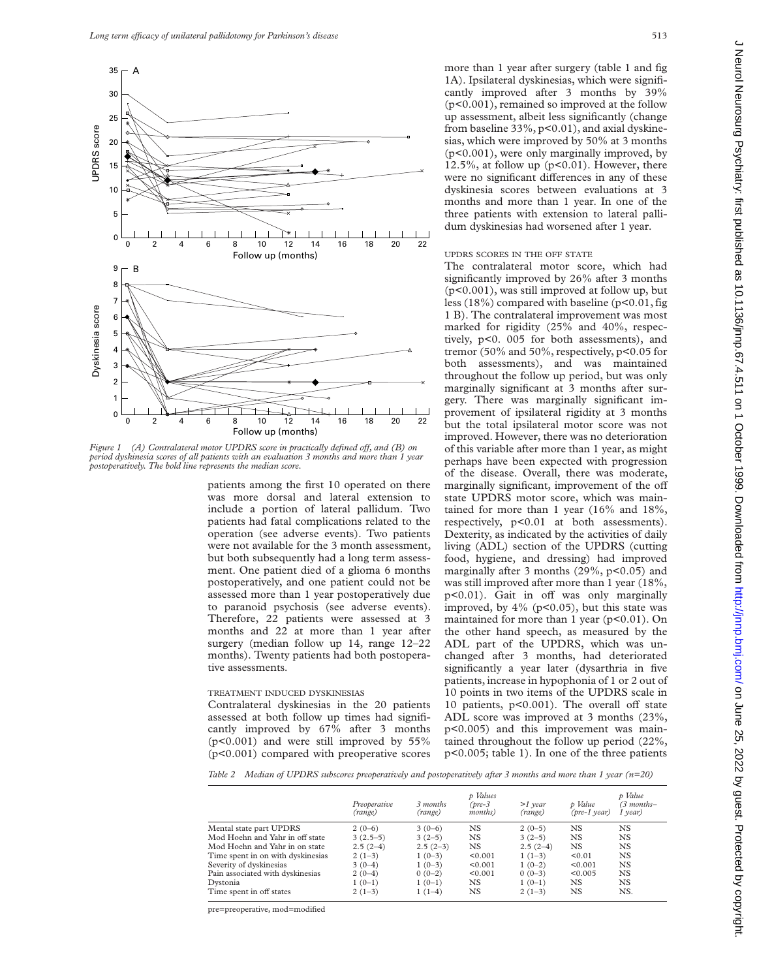

*Figure 1 (A) Contralateral motor UPDRS score in practically defined off, and (B) on period dyskinesia scores of all patients with an evaluation 3 months and more than 1 year postoperatively. The bold line represents the median score.*

patients among the first 10 operated on there was more dorsal and lateral extension to include a portion of lateral pallidum. Two patients had fatal complications related to the operation (see adverse events). Two patients were not available for the 3 month assessment, but both subsequently had a long term assessment. One patient died of a glioma 6 months postoperatively, and one patient could not be assessed more than 1 year postoperatively due to paranoid psychosis (see adverse events). Therefore, 22 patients were assessed at 3 months and 22 at more than 1 year after surgery (median follow up 14, range 12–22 months). Twenty patients had both postoperative assessments.

#### TREATMENT INDUCED DYSKINESIAS

Contralateral dyskinesias in the 20 patients assessed at both follow up times had significantly improved by 67% after 3 months (p<0.001) and were still improved by 55% (p<0.001) compared with preoperative scores more than 1 year after surgery (table 1 and fig 1A). Ipsilateral dyskinesias, which were significantly improved after 3 months by 39% (p<0.001), remained so improved at the follow up assessment, albeit less significantly (change from baseline 33%, p<0.01), and axial dyskinesias, which were improved by 50% at 3 months (p<0.001), were only marginally improved, by 12.5%, at follow up  $(p<0.01)$ . However, there were no significant differences in any of these dyskinesia scores between evaluations at 3 months and more than 1 year. In one of the three patients with extension to lateral pallidum dyskinesias had worsened after 1 year.

#### UPDRS SCORES IN THE OFF STATE

The contralateral motor score, which had significantly improved by 26% after 3 months (p<0.001), was still improved at follow up, but less  $(18\%)$  compared with baseline  $(p<0.01$ , fig 1 B). The contralateral improvement was most marked for rigidity (25% and 40%, respectively, p<0. 005 for both assessments), and tremor (50% and 50%, respectively, p<0.05 for both assessments), and was maintained throughout the follow up period, but was only marginally significant at 3 months after surgery. There was marginally significant improvement of ipsilateral rigidity at 3 months but the total ipsilateral motor score was not improved. However, there was no deterioration of this variable after more than 1 year, as might perhaps have been expected with progression of the disease. Overall, there was moderate, marginally significant, improvement of the off state UPDRS motor score, which was maintained for more than 1 year (16% and 18%, respectively, p<0.01 at both assessments). Dexterity, as indicated by the activities of daily living (ADL) section of the UPDRS (cutting food, hygiene, and dressing) had improved marginally after 3 months  $(29\%, p<0.05)$  and was still improved after more than 1 year (18%, p<0.01). Gait in off was only marginally improved, by 4% (p<0.05), but this state was maintained for more than 1 year (p<0.01). On the other hand speech, as measured by the ADL part of the UPDRS, which was unchanged after 3 months, had deteriorated significantly a year later (dysarthria in five patients, increase in hypophonia of 1 or 2 out of 10 points in two items of the UPDRS scale in 10 patients,  $p<0.001$ ). The overall off state ADL score was improved at 3 months (23%, p<0.005) and this improvement was maintained throughout the follow up period (22%, p<0.005; table 1). In one of the three patients

*Table 2 Median of UPDRS subscores preoperatively and postoperatively after 3 months and more than 1 year (n=20)*

|                                   | Preoperative<br>(range) | 3 months<br>(range) | p Values<br>(pre-3<br><i>months</i> ) | $>1$ year<br>(range) | p Value<br>$(\text{pre-1} \text{ year})$ | p Value<br>(3 months–<br>$1$ year) |
|-----------------------------------|-------------------------|---------------------|---------------------------------------|----------------------|------------------------------------------|------------------------------------|
| Mental state part UPDRS           | $2(0-6)$                | $3(0-6)$            | NS                                    | $2(0-5)$             | <b>NS</b>                                | NS                                 |
| Mod Hoehn and Yahr in off state   | $3(2.5-5)$              | $3(2-5)$            | NS                                    | $3(2-5)$             | NS                                       | NS                                 |
| Mod Hoehn and Yahr in on state    | $2.5(2-4)$              | $2.5(2-3)$          | NS                                    | $2.5(2-4)$           | NS                                       | NS.                                |
| Time spent in on with dyskinesias | $2(1-3)$                | $1(0-3)$            | < 0.001                               | $1(1-3)$             | < 0.01                                   | NS                                 |
| Severity of dyskinesias           | $3(0-4)$                | $1(0-3)$            | < 0.001                               | $1(0-2)$             | < 0.001                                  | NS                                 |
| Pain associated with dyskinesias  | $2(0-4)$                | $0(0-2)$            | < 0.001                               | $0(0-3)$             | < 0.005                                  | <b>NS</b>                          |
| Dystonia                          | $1(0-1)$                | $1(0-1)$            | NS                                    | $1(0-1)$             | NS.                                      | NS.                                |
| Time spent in off states          | $2(1-3)$                | $1(1-4)$            | NS                                    | $2(1-3)$             | NS                                       | NS.                                |

pre=preoperative, mod=modified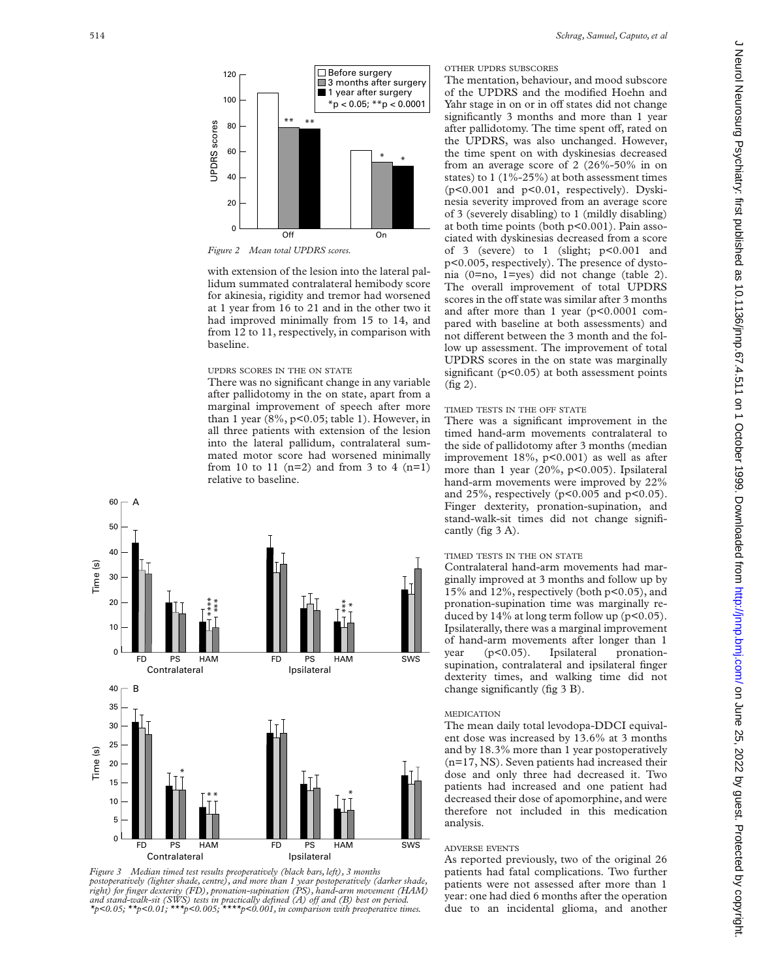

*Figure 2 Mean total UPDRS scores.*

with extension of the lesion into the lateral pallidum summated contralateral hemibody score for akinesia, rigidity and tremor had worsened at 1 year from 16 to 21 and in the other two it had improved minimally from 15 to 14, and from 12 to 11, respectively, in comparison with baseline.

#### UPDRS SCORES IN THE ON STATE

There was no significant change in any variable after pallidotomy in the on state, apart from a marginal improvement of speech after more than 1 year  $(8\%, p<0.05;$  table 1). However, in all three patients with extension of the lesion into the lateral pallidum, contralateral summated motor score had worsened minimally from 10 to 11 (n=2) and from 3 to 4 (n=1) relative to baseline.





# OTHER UPDRS SUBSCORES

The mentation, behaviour, and mood subscore of the UPDRS and the modified Hoehn and Yahr stage in on or in off states did not change significantly 3 months and more than 1 year after pallidotomy. The time spent off, rated on the UPDRS, was also unchanged. However, the time spent on with dyskinesias decreased from an average score of 2 (26%-50% in on states) to 1 (1%-25%) at both assessment times (p<0.001 and p<0.01, respectively). Dyskinesia severity improved from an average score of 3 (severely disabling) to 1 (mildly disabling) at both time points (both p<0.001). Pain associated with dyskinesias decreased from a score of 3 (severe) to 1 (slight; p<0.001 and p<0.005, respectively). The presence of dystonia (0=no, 1=yes) did not change (table 2). The overall improvement of total UPDRS scores in the off state was similar after 3 months and after more than 1 year (p<0.0001 compared with baseline at both assessments) and not different between the 3 month and the follow up assessment. The improvement of total UPDRS scores in the on state was marginally significant  $(p<0.05)$  at both assessment points (fig 2).

### TIMED TESTS IN THE OFF STATE

There was a significant improvement in the timed hand-arm movements contralateral to the side of pallidotomy after 3 months (median improvement 18%, p<0.001) as well as after more than 1 year (20%, p<0.005). Ipsilateral hand-arm movements were improved by 22% and 25%, respectively ( $p<0.005$  and  $p<0.05$ ). Finger dexterity, pronation-supination, and stand-walk-sit times did not change significantly (fig 3 A).

# TIMED TESTS IN THE ON STATE

Contralateral hand-arm movements had marginally improved at 3 months and follow up by 15% and 12%, respectively (both p<0.05), and pronation-supination time was marginally reduced by  $14\%$  at long term follow up ( $p<0.05$ ). Ipsilaterally, there was a marginal improvement of hand-arm movements after longer than 1 year (p<0.05). Ipsilateral pronationsupination, contralateral and ipsilateral finger dexterity times, and walking time did not change significantly (fig 3 B).

## MEDICATION

The mean daily total levodopa-DDCI equivalent dose was increased by 13.6% at 3 months and by 18.3% more than 1 year postoperatively (n=17, NS). Seven patients had increased their dose and only three had decreased it. Two patients had increased and one patient had decreased their dose of apomorphine, and were therefore not included in this medication analysis.

# ADVERSE EVENTS

As reported previously, two of the original 26 patients had fatal complications. Two further patients were not assessed after more than 1 year: one had died 6 months after the operation due to an incidental glioma, and another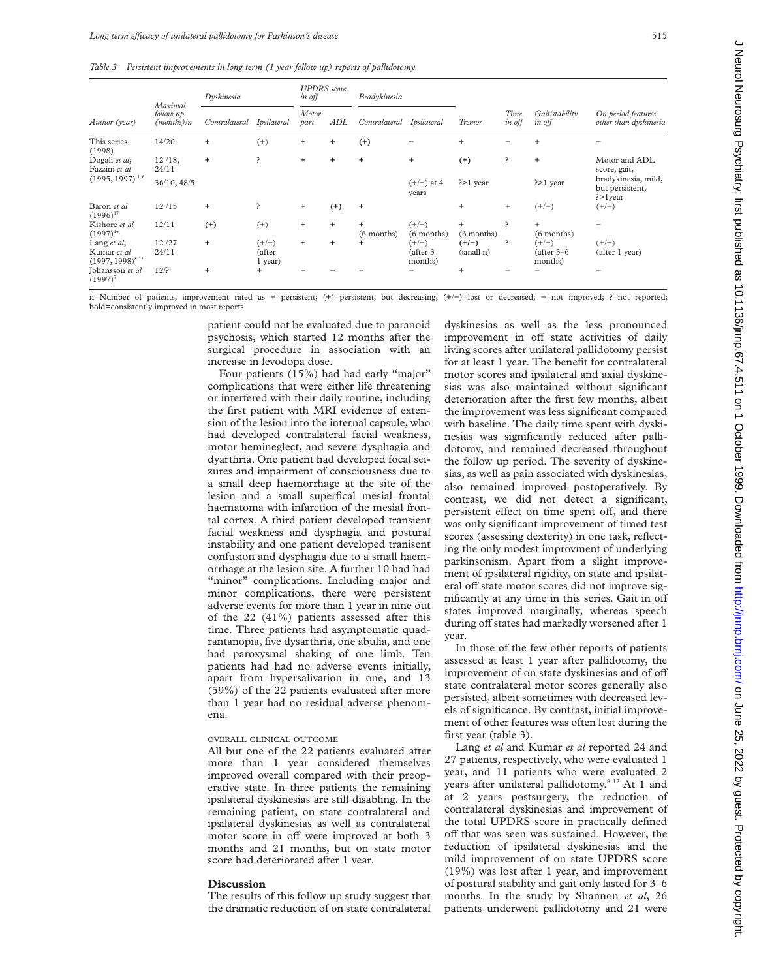*Table 3 Persistent improvements in long term (1 year follow up) reports of pallidotomy*

| Author (year)                                         | Maximal<br>follow up<br>(months)/n | Dyskinesia    |                              | <b>UPDRS</b> score<br>in off |           | <b>Bradykinesia</b>       |                                |                           |                |                                   |                                                         |
|-------------------------------------------------------|------------------------------------|---------------|------------------------------|------------------------------|-----------|---------------------------|--------------------------------|---------------------------|----------------|-----------------------------------|---------------------------------------------------------|
|                                                       |                                    | Contralateral | Ipsilateral                  | Motor<br>part                | ADL       | Contralateral             | Ipsilateral                    | Tremor                    | Time<br>in off | Gait/stability<br>in off          | On period features<br>other than dyskinesia             |
| This series<br>(1998)                                 | 14/20                              | $\ddot{}$     | $(+)$                        | ÷.                           | $\ddot{}$ | $^{(+)}$                  |                                | $\ddot{}$                 |                | $\ddot{}$                         |                                                         |
| Dogali et al;<br>Fazzini et al<br>$(1995, 1997)^{16}$ | $12/18$ ,<br>24/11                 | $\ddot{}$     | ?                            | $+$                          | $\ddot{}$ | $\ddot{}$                 | $+$                            | $^{(+)}$                  | ?              | $+$                               | Motor and ADL<br>score, gait,                           |
|                                                       | 36/10, 48/5                        |               |                              |                              |           |                           | $(+/-)$ at 4<br>years          | $\geq 1$ year             |                | $\geq 1$ year                     | bradykinesia, mild,<br>but persistent,<br>$\geq$ 1 year |
| Baron et al<br>$(1996)^{17}$                          | 12/15                              | $\ddot{}$     | ?                            | $+$                          | $^{(+)}$  | $\ddot{}$                 |                                | $\ddot{}$                 | $\ddot{}$      | $(+/-)$                           | $(+/-)$                                                 |
| Kishore et al<br>$(1997)^{16}$                        | 12/11                              | $^{(+)}$      | $^{(+)}$                     | $\ddot{}$                    | $\ddot{}$ | $\ddot{}$<br>$(6$ months) | $(+/-)$<br>(6 months)          | $\ddot{}$<br>$(6$ months) | P              | $+$<br>$(6$ months)               |                                                         |
| Lang et al;<br>Kumar et al<br>$(1997, 1998)^{812}$    | 12/27<br>24/11                     | $\ddot{}$     | $(+/-)$<br>(after<br>1 year) | $\ddot{}$                    | ÷         | ÷                         | $(+/-)$<br>(after 3<br>months) | $(+/-)$<br>(small n)      | Ç              | $(+/-)$<br>(after 3–6)<br>months) | $(+/-)$<br>(after 1 year)                               |
| Johansson et al<br>$(1997)^7$                         | 12/?                               | $\ddot{}$     | $^{+}$                       |                              |           |                           |                                | $\ddot{}$                 |                |                                   |                                                         |

n=Number of patients; improvement rated as +=persistent; (+)=persistent, but decreasing; (+/−)=lost or decreased; −=not improved; ?=not reported; bold=consistently improved in most reports

> patient could not be evaluated due to paranoid psychosis, which started 12 months after the surgical procedure in association with an increase in levodopa dose.

> Four patients (15%) had had early "major" complications that were either life threatening or interfered with their daily routine, including the first patient with MRI evidence of extension of the lesion into the internal capsule, who had developed contralateral facial weakness, motor hemineglect, and severe dysphagia and dyarthria. One patient had developed focal seizures and impairment of consciousness due to a small deep haemorrhage at the site of the lesion and a small superfical mesial frontal haematoma with infarction of the mesial frontal cortex. A third patient developed transient facial weakness and dysphagia and postural instability and one patient developed tranisent confusion and dysphagia due to a small haemorrhage at the lesion site. A further 10 had had "minor" complications. Including major and minor complications, there were persistent adverse events for more than 1 year in nine out of the 22 (41%) patients assessed after this time. Three patients had asymptomatic quadrantanopia, five dysarthria, one abulia, and one had paroxysmal shaking of one limb. Ten patients had had no adverse events initially, apart from hypersalivation in one, and 13 (59%) of the 22 patients evaluated after more than 1 year had no residual adverse phenomena.

#### OVERALL CLINICAL OUTCOME

All but one of the 22 patients evaluated after more than 1 year considered themselves improved overall compared with their preoperative state. In three patients the remaining ipsilateral dyskinesias are still disabling. In the remaining patient, on state contralateral and ipsilateral dyskinesias as well as contralateral motor score in off were improved at both 3 months and 21 months, but on state motor score had deteriorated after 1 year.

### **Discussion**

The results of this follow up study suggest that the dramatic reduction of on state contralateral dyskinesias as well as the less pronounced improvement in off state activities of daily living scores after unilateral pallidotomy persist for at least 1 year. The benefit for contralateral motor scores and ipsilateral and axial dyskinesias was also maintained without significant deterioration after the first few months, albeit the improvement was less significant compared with baseline. The daily time spent with dyskinesias was significantly reduced after pallidotomy, and remained decreased throughout the follow up period. The severity of dyskinesias, as well as pain associated with dyskinesias, also remained improved postoperatively. By contrast, we did not detect a significant, persistent effect on time spent off, and there was only significant improvement of timed test scores (assessing dexterity) in one task, reflecting the only modest improvment of underlying parkinsonism. Apart from a slight improvement of ipsilateral rigidity, on state and ipsilateral off state motor scores did not improve significantly at any time in this series. Gait in off states improved marginally, whereas speech during off states had markedly worsened after 1 year.

In those of the few other reports of patients assessed at least 1 year after pallidotomy, the improvement of on state dyskinesias and of off state contralateral motor scores generally also persisted, albeit sometimes with decreased levels of significance. By contrast, initial improvement of other features was often lost during the first year (table 3).

Lang *et al* and Kumar *et al* reported 24 and 27 patients, respectively, who were evaluated 1 year, and 11 patients who were evaluated 2 years after unilateral pallidotomy.<sup>8 12</sup> At 1 and at 2 years postsurgery, the reduction of contralateral dyskinesias and improvement of the total UPDRS score in practically defined off that was seen was sustained. However, the reduction of ipsilateral dyskinesias and the mild improvement of on state UPDRS score (19%) was lost after 1 year, and improvement of postural stability and gait only lasted for 3–6 months. In the study by Shannon *et al*, 26 patients underwent pallidotomy and 21 were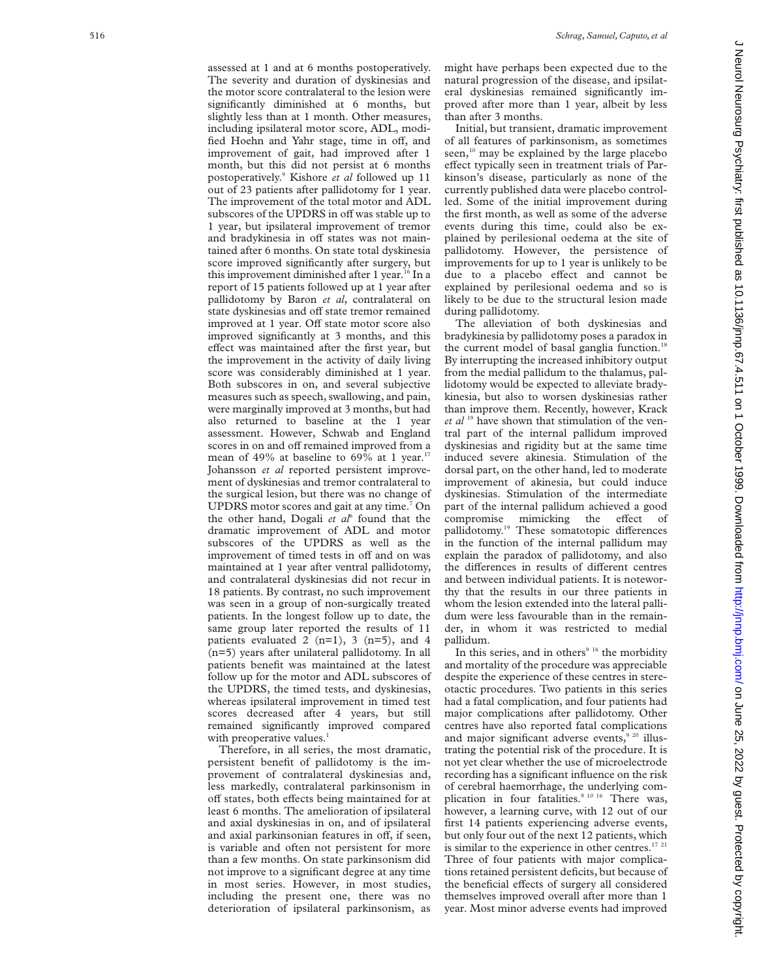assessed at 1 and at 6 months postoperatively. The severity and duration of dyskinesias and the motor score contralateral to the lesion were significantly diminished at 6 months, but slightly less than at 1 month. Other measures, including ipsilateral motor score, ADL, modified Hoehn and Yahr stage, time in off, and improvement of gait, had improved after 1 month, but this did not persist at 6 months postoperatively. <sup>9</sup> Kishore *et al* followed up 11 out of 23 patients after pallidotomy for 1 year. The improvement of the total motor and ADL subscores of the UPDRS in off was stable up to 1 year, but ipsilateral improvement of tremor and bradykinesia in off states was not maintained after 6 months. On state total dyskinesia score improved significantly after surgery, but this improvement diminished after 1 year.<sup>16</sup> In a report of 15 patients followed up at 1 year after pallidotomy by Baron *et al*, contralateral on state dyskinesias and off state tremor remained improved at 1 year. Off state motor score also improved significantly at 3 months, and this effect was maintained after the first year, but the improvement in the activity of daily living score was considerably diminished at 1 year. Both subscores in on, and several subjective measures such as speech, swallowing, and pain, were marginally improved at 3 months, but had also returned to baseline at the 1 year assessment. However, Schwab and England scores in on and off remained improved from a mean of 49% at baseline to 69% at 1 year.<sup>17</sup> Johansson *et al* reported persistent improvement of dyskinesias and tremor contralateral to the surgical lesion, but there was no change of UPDRS motor scores and gait at any time. <sup>7</sup> On the other hand, Dogali *et al*<sup>6</sup> found that the dramatic improvement of ADL and motor subscores of the UPDRS as well as the improvement of timed tests in off and on was maintained at 1 year after ventral pallidotomy, and contralateral dyskinesias did not recur in 18 patients. By contrast, no such improvement was seen in a group of non-surgically treated patients. In the longest follow up to date, the same group later reported the results of 11 patients evaluated 2 (n=1), 3 (n=5), and 4 (n=5) years after unilateral pallidotomy. In all patients benefit was maintained at the latest follow up for the motor and ADL subscores of the UPDRS, the timed tests, and dyskinesias, whereas ipsilateral improvement in timed test scores decreased after 4 years, but still remained significantly improved compared with preoperative values.<sup>1</sup>

Therefore, in all series, the most dramatic, persistent benefit of pallidotomy is the improvement of contralateral dyskinesias and, less markedly, contralateral parkinsonism in off states, both effects being maintained for at least 6 months. The amelioration of ipsilateral and axial dyskinesias in on, and of ipsilateral and axial parkinsonian features in off, if seen, is variable and often not persistent for more than a few months. On state parkinsonism did not improve to a significant degree at any time in most series. However, in most studies, including the present one, there was no deterioration of ipsilateral parkinsonism, as might have perhaps been expected due to the natural progression of the disease, and ipsilateral dyskinesias remained significantly improved after more than 1 year, albeit by less than after 3 months.

Initial, but transient, dramatic improvement of all features of parkinsonism, as sometimes seen, $10$  may be explained by the large placebo effect typically seen in treatment trials of Parkinson's disease, particularly as none of the currently published data were placebo controlled. Some of the initial improvement during the first month, as well as some of the adverse events during this time, could also be explained by perilesional oedema at the site of pallidotomy. However, the persistence of improvements for up to 1 year is unlikely to be due to a placebo effect and cannot be explained by perilesional oedema and so is likely to be due to the structural lesion made during pallidotomy.

The alleviation of both dyskinesias and bradykinesia by pallidotomy poses a paradox in the current model of basal ganglia function.<sup>18</sup> By interrupting the increased inhibitory output from the medial pallidum to the thalamus, pallidotomy would be expected to alleviate bradykinesia, but also to worsen dyskinesias rather than improve them. Recently, however, Krack *et al* <sup>19</sup> have shown that stimulation of the ventral part of the internal pallidum improved dyskinesias and rigidity but at the same time induced severe akinesia. Stimulation of the dorsal part, on the other hand, led to moderate improvement of akinesia, but could induce dyskinesias. Stimulation of the intermediate part of the internal pallidum achieved a good compromise mimicking the effect of pallidotomy.<sup>19</sup> These somatotopic differences in the function of the internal pallidum may explain the paradox of pallidotomy, and also the differences in results of different centres and between individual patients. It is noteworthy that the results in our three patients in whom the lesion extended into the lateral pallidum were less favourable than in the remainder, in whom it was restricted to medial pallidum.

In this series, and in others $916$  the morbidity and mortality of the procedure was appreciable despite the experience of these centres in stereotactic procedures. Two patients in this series had a fatal complication, and four patients had major complications after pallidotomy. Other centres have also reported fatal complications and major significant adverse events, $9^{20}$  illustrating the potential risk of the procedure. It is not yet clear whether the use of microelectrode recording has a significant influence on the risk of cerebral haemorrhage, the underlying complication in four fatalities.<sup>9 10 16</sup> There was, however, a learning curve, with 12 out of our first 14 patients experiencing adverse events, but only four out of the next 12 patients, which is similar to the experience in other centres. $17$   $21$ Three of four patients with major complications retained persistent deficits, but because of the beneficial effects of surgery all considered themselves improved overall after more than 1 year. Most minor adverse events had improved